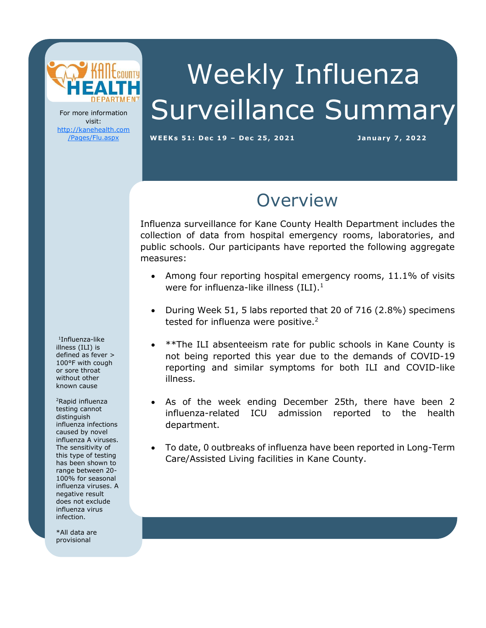

For more information visit: [http://kanehealth.com](http://kanehealth.com/Pages/Flu.aspx) [/Pages/Flu.aspx](http://kanehealth.com/Pages/Flu.aspx)

# Weekly Influenza Surveillance Summary

WEEKs 51: Dec 19 - Dec 25, 2021 **January 7, 2022** 

### **Overview**

Influenza surveillance for Kane County Health Department includes the collection of data from hospital emergency rooms, laboratories, and public schools. Our participants have reported the following aggregate measures:

- Among four reporting hospital emergency rooms, 11.1% of visits were for influenza-like illness (ILI).<sup>1</sup>
- During Week 51, 5 labs reported that 20 of 716 (2.8%) specimens tested for influenza were positive. $2$
- \*\*The ILI absenteeism rate for public schools in Kane County is not being reported this year due to the demands of COVID-19 reporting and similar symptoms for both ILI and COVID-like illness.
- As of the week ending December 25th, there have been 2 influenza-related ICU admission reported to the health department.
- To date, 0 outbreaks of influenza have been reported in Long-Term Care/Assisted Living facilities in Kane County.

laboratories, individual schools, and school districts that provide the

data that make this monitoring possible.

1 Influenza-like illness (ILI) is defined as fever > 100°F with cough or sore throat without other known cause

<sup>2</sup>Rapid influenza testing cannot distinguish influenza infections caused by novel influenza A viruses. The sensitivity of this type of testing has been shown to range between 20- 100% for seasonal influenza viruses. A negative result does not exclude influenza virus infection.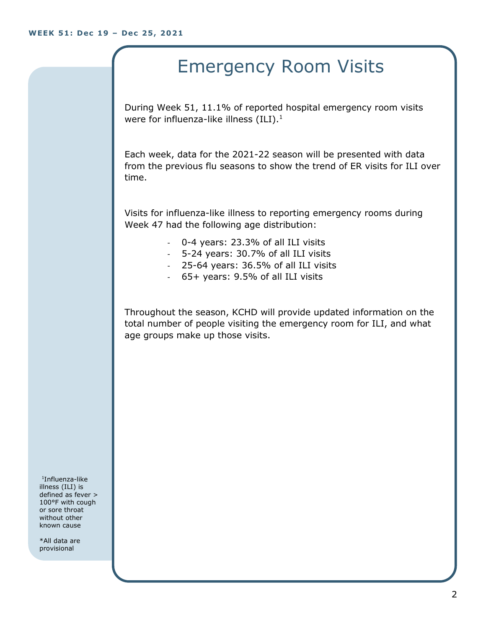#### Emergency Room Visits

During Week 51, 11.1% of reported hospital emergency room visits were for influenza-like illness  $(ILI).<sup>1</sup>$ 

Each week, data for the 2021-22 season will be presented with data from the previous flu seasons to show the trend of ER visits for ILI over time.

Visits for influenza-like illness to reporting emergency rooms during Week 47 had the following age distribution:

- 0-4 years: 23.3% of all ILI visits
- 5-24 years: 30.7% of all ILI visits
- 25-64 years: 36.5% of all ILI visits
- 65+ years: 9.5% of all ILI visits

Throughout the season, KCHD will provide updated information on the total number of people visiting the emergency room for ILI, and what age groups make up those visits.

1 Influenza-like illness (ILI) is defined as fever > 100°F with cough or sore throat without other known cause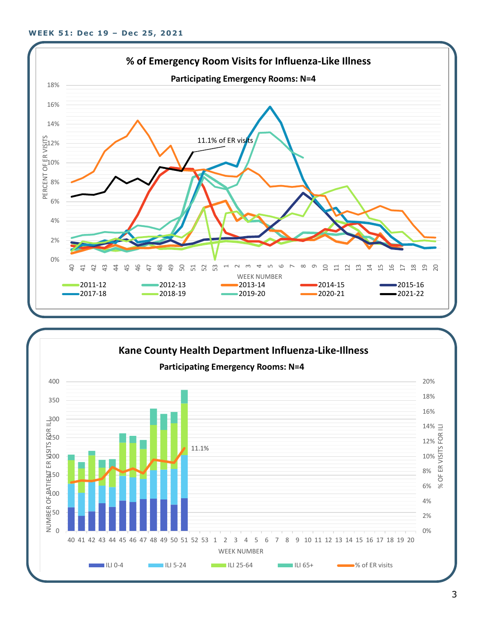

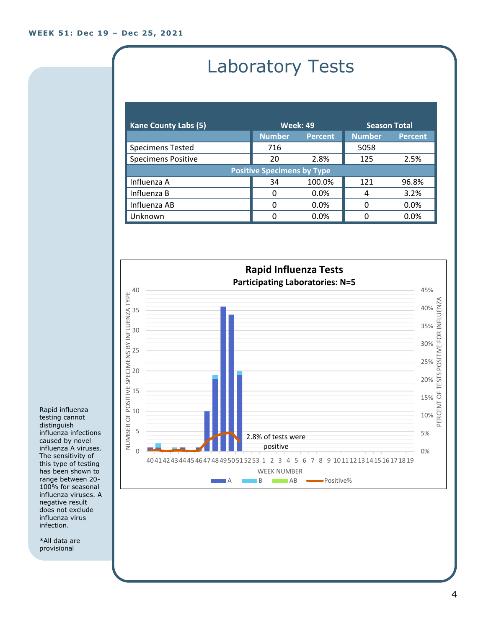## Laboratory Tests

| <b>Kane County Labs (5)</b>       | <b>Week: 49</b> |                | <b>Season Total</b> |                |  |
|-----------------------------------|-----------------|----------------|---------------------|----------------|--|
|                                   | <b>Number</b>   | <b>Percent</b> | <b>Number</b>       | <b>Percent</b> |  |
| <b>Specimens Tested</b>           | 716             |                | 5058                |                |  |
| <b>Specimens Positive</b>         | 20              | 2.8%           | 125                 | 2.5%           |  |
| <b>Positive Specimens by Type</b> |                 |                |                     |                |  |
| Influenza A                       | 34              | 100.0%         | 121                 | 96.8%          |  |
| Influenza B                       | 0               | $0.0\%$        | 4                   | 3.2%           |  |
| Influenza AB                      | O               | 0.0%           | 0                   | 0.0%           |  |
| Unknown                           | O               | 0.0%           |                     | 0.0%           |  |



Rapid influenza testing cannot distinguish influenza infections caused by novel influenza A viruses. The sensitivity of this type of testing has been shown to range between 20- 100% for seasonal influenza viruses. A negative result does not exclude influenza virus infection.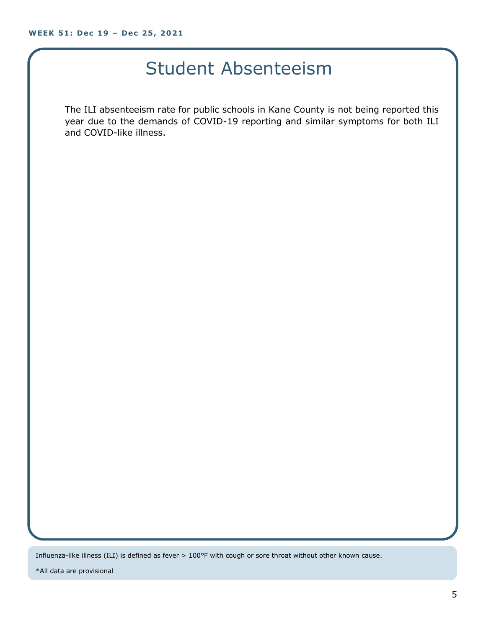#### Student Absenteeism

The ILI absenteeism rate for public schools in Kane County is not being reported this year due to the demands of COVID-19 reporting and similar symptoms for both ILI and COVID-like illness.

Influenza-like illness (ILI) is defined as fever > 100°F with cough or sore throat without other known cause.